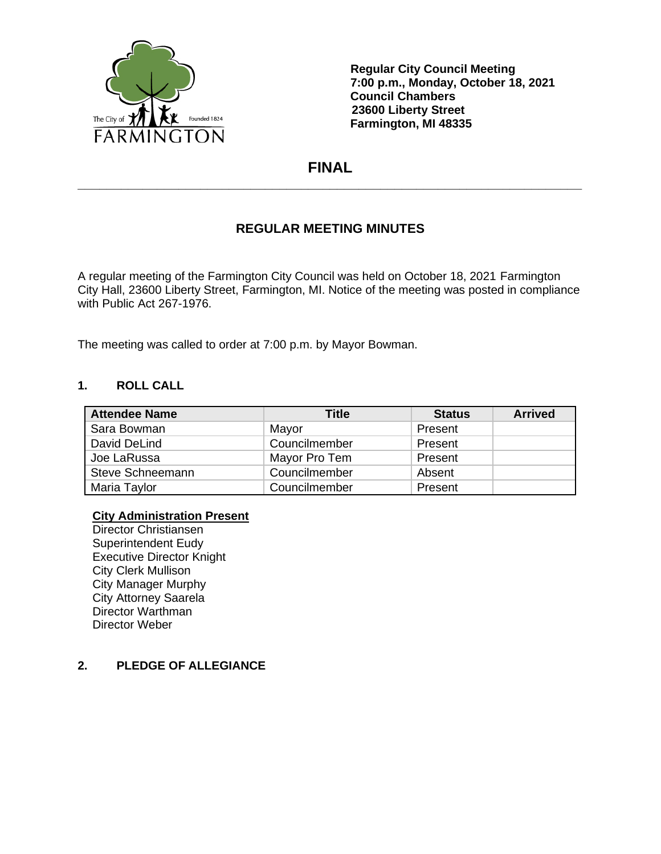

**Regular City Council Meeting 7:00 p.m., Monday, October 18, 2021 Council Chambers 23600 Liberty Street Farmington, MI 48335**

# **FINAL \_\_\_\_\_\_\_\_\_\_\_\_\_\_\_\_\_\_\_\_\_\_\_\_\_\_\_\_\_\_\_\_\_\_\_\_\_\_\_\_\_\_\_\_\_\_\_\_\_\_\_\_\_\_\_\_\_\_\_\_\_\_\_\_\_\_\_\_\_\_**

# **REGULAR MEETING MINUTES**

A regular meeting of the Farmington City Council was held on October 18, 2021 Farmington City Hall, 23600 Liberty Street, Farmington, MI. Notice of the meeting was posted in compliance with Public Act 267-1976.

The meeting was called to order at 7:00 p.m. by Mayor Bowman.

#### **1. ROLL CALL**

| <b>Attendee Name</b> | <b>Title</b>  | <b>Status</b> | <b>Arrived</b> |
|----------------------|---------------|---------------|----------------|
| Sara Bowman          | Mayor         | Present       |                |
| David DeLind         | Councilmember | Present       |                |
| Joe LaRussa          | Mayor Pro Tem | Present       |                |
| Steve Schneemann     | Councilmember | Absent        |                |
| Maria Taylor         | Councilmember | Present       |                |

#### **City Administration Present**

Director Christiansen Superintendent Eudy Executive Director Knight City Clerk Mullison City Manager Murphy City Attorney Saarela Director Warthman Director Weber

### **2. PLEDGE OF ALLEGIANCE**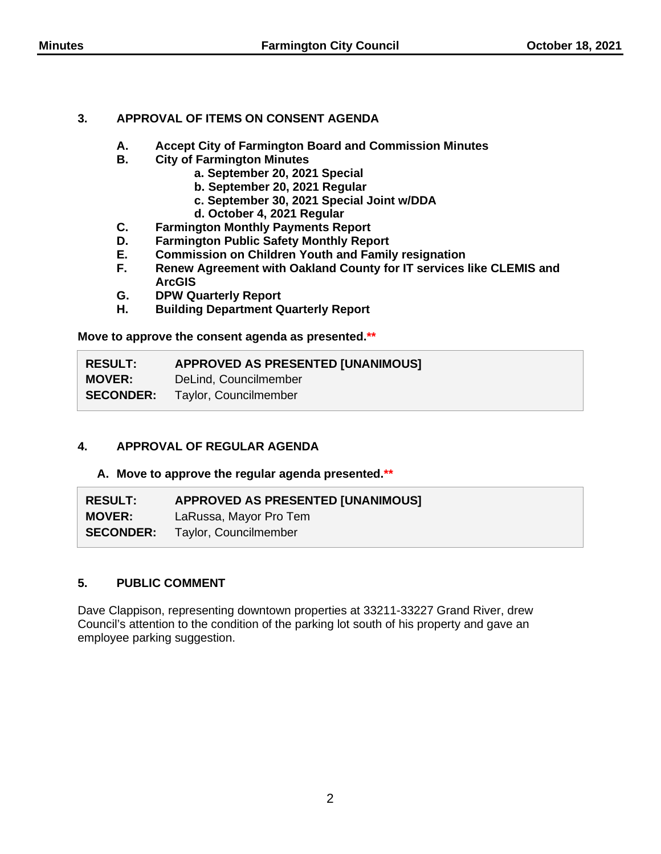### **3. APPROVAL OF ITEMS ON CONSENT AGENDA**

- **A. Accept City of Farmington Board and Commission Minutes**
- **B. City of Farmington Minutes**
	- **a. September 20, 2021 Special**
	- **b. September 20, 2021 Regular**
	- **c. September 30, 2021 Special Joint w/DDA**
	- **d. October 4, 2021 Regular**
- **C. Farmington Monthly Payments Report**
- **D. Farmington Public Safety Monthly Report**
- **E. Commission on Children Youth and Family resignation**
- **F. Renew Agreement with Oakland County for IT services like CLEMIS and ArcGIS**
- **G. DPW Quarterly Report**
- **H. Building Department Quarterly Report**

**Move to approve the consent agenda as presented.\*\***

| <b>RESULT:</b> | <b>APPROVED AS PRESENTED [UNANIMOUS]</b> |
|----------------|------------------------------------------|
| <b>MOVER:</b>  | DeLind, Councilmember                    |
|                | <b>SECONDER:</b> Taylor, Councilmember   |

# **4. APPROVAL OF REGULAR AGENDA**

**A. Move to approve the regular agenda presented.\*\***

| <b>RESULT:</b>   | <b>APPROVED AS PRESENTED [UNANIMOUS]</b> |
|------------------|------------------------------------------|
| <b>MOVER:</b>    | LaRussa, Mayor Pro Tem                   |
| <b>SECONDER:</b> | Taylor, Councilmember                    |

### **5. PUBLIC COMMENT**

Dave Clappison, representing downtown properties at 33211-33227 Grand River, drew Council's attention to the condition of the parking lot south of his property and gave an employee parking suggestion.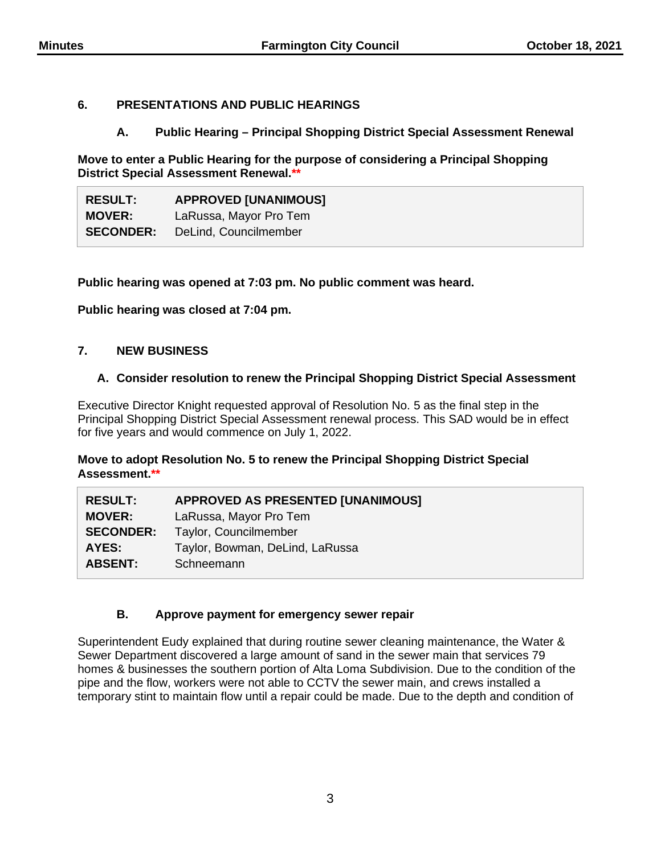### **6. PRESENTATIONS AND PUBLIC HEARINGS**

### **A. Public Hearing – Principal Shopping District Special Assessment Renewal**

**Move to enter a Public Hearing for the purpose of considering a Principal Shopping District Special Assessment Renewal.\*\***

| <b>RESULT:</b>   | <b>APPROVED [UNANIMOUS]</b> |
|------------------|-----------------------------|
| <b>MOVER:</b>    | LaRussa, Mayor Pro Tem      |
| <b>SECONDER:</b> | DeLind, Councilmember       |

**Public hearing was opened at 7:03 pm. No public comment was heard.**

**Public hearing was closed at 7:04 pm.**

### **7. NEW BUSINESS**

### **A. Consider resolution to renew the Principal Shopping District Special Assessment**

Executive Director Knight requested approval of Resolution No. 5 as the final step in the Principal Shopping District Special Assessment renewal process. This SAD would be in effect for five years and would commence on July 1, 2022.

**Move to adopt Resolution No. 5 to renew the Principal Shopping District Special Assessment.\*\***

| <b>APPROVED AS PRESENTED [UNANIMOUS]</b> |
|------------------------------------------|
| LaRussa, Mayor Pro Tem                   |
| Taylor, Councilmember                    |
| Taylor, Bowman, DeLind, LaRussa          |
|                                          |
|                                          |

# **B. Approve payment for emergency sewer repair**

Superintendent Eudy explained that during routine sewer cleaning maintenance, the Water & Sewer Department discovered a large amount of sand in the sewer main that services 79 homes & businesses the southern portion of Alta Loma Subdivision. Due to the condition of the pipe and the flow, workers were not able to CCTV the sewer main, and crews installed a temporary stint to maintain flow until a repair could be made. Due to the depth and condition of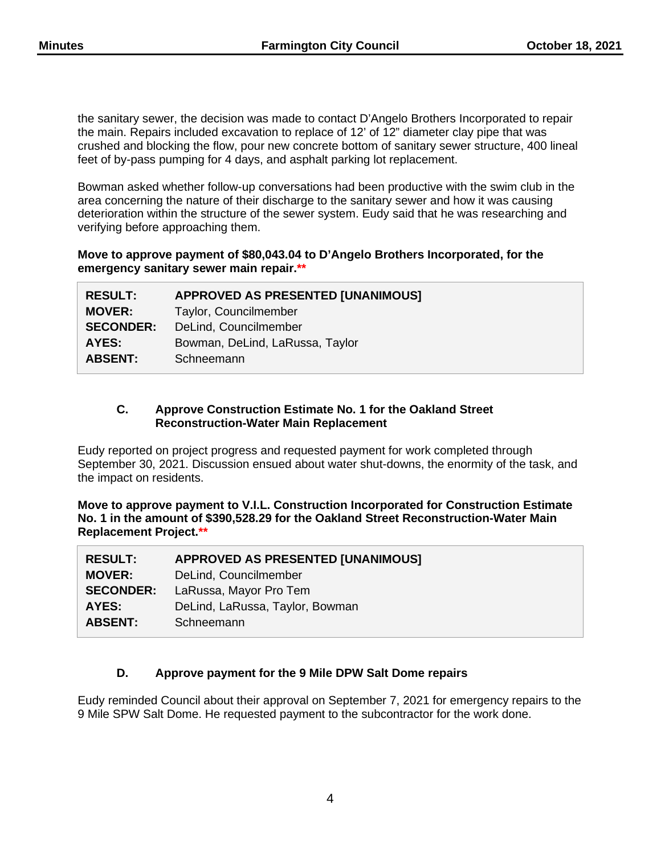the sanitary sewer, the decision was made to contact D'Angelo Brothers Incorporated to repair the main. Repairs included excavation to replace of 12' of 12" diameter clay pipe that was crushed and blocking the flow, pour new concrete bottom of sanitary sewer structure, 400 lineal feet of by-pass pumping for 4 days, and asphalt parking lot replacement.

Bowman asked whether follow-up conversations had been productive with the swim club in the area concerning the nature of their discharge to the sanitary sewer and how it was causing deterioration within the structure of the sewer system. Eudy said that he was researching and verifying before approaching them.

#### **Move to approve payment of \$80,043.04 to D'Angelo Brothers Incorporated, for the emergency sanitary sewer main repair.\*\***

| <b>RESULT:</b>   | <b>APPROVED AS PRESENTED [UNANIMOUS]</b> |
|------------------|------------------------------------------|
| <b>MOVER:</b>    | Taylor, Councilmember                    |
| <b>SECONDER:</b> | DeLind, Councilmember                    |
| AYES:            | Bowman, DeLind, LaRussa, Taylor          |
| <b>ABSENT:</b>   | Schneemann                               |
|                  |                                          |

### **C. Approve Construction Estimate No. 1 for the Oakland Street Reconstruction-Water Main Replacement**

Eudy reported on project progress and requested payment for work completed through September 30, 2021. Discussion ensued about water shut-downs, the enormity of the task, and the impact on residents.

**Move to approve payment to V.I.L. Construction Incorporated for Construction Estimate No. 1 in the amount of \$390,528.29 for the Oakland Street Reconstruction-Water Main Replacement Project.\*\***

| <b>RESULT:</b>   | <b>APPROVED AS PRESENTED [UNANIMOUS]</b> |
|------------------|------------------------------------------|
| <b>MOVER:</b>    | DeLind, Councilmember                    |
| <b>SECONDER:</b> | LaRussa, Mayor Pro Tem                   |
| AYES:            | DeLind, LaRussa, Taylor, Bowman          |
| <b>ABSENT:</b>   | Schneemann                               |

# **D. Approve payment for the 9 Mile DPW Salt Dome repairs**

Eudy reminded Council about their approval on September 7, 2021 for emergency repairs to the 9 Mile SPW Salt Dome. He requested payment to the subcontractor for the work done.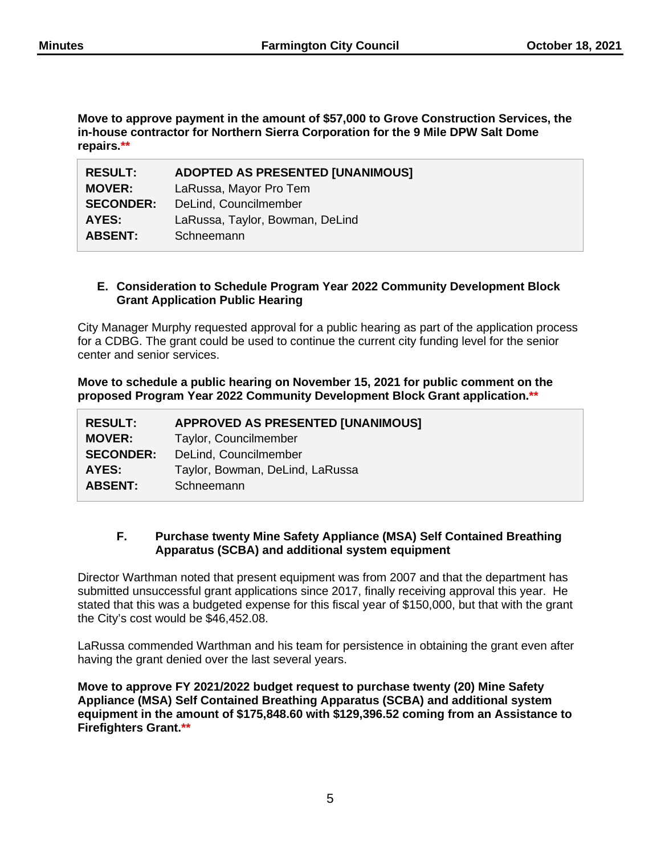**Move to approve payment in the amount of \$57,000 to Grove Construction Services, the in-house contractor for Northern Sierra Corporation for the 9 Mile DPW Salt Dome repairs.\*\***

| <b>RESULT:</b>   | <b>ADOPTED AS PRESENTED [UNANIMOUS]</b> |
|------------------|-----------------------------------------|
| <b>MOVER:</b>    | LaRussa, Mayor Pro Tem                  |
| <b>SECONDER:</b> | DeLind, Councilmember                   |
| AYES:            | LaRussa, Taylor, Bowman, DeLind         |
| <b>ABSENT:</b>   | Schneemann                              |

### **E. Consideration to Schedule Program Year 2022 Community Development Block Grant Application Public Hearing**

City Manager Murphy requested approval for a public hearing as part of the application process for a CDBG. The grant could be used to continue the current city funding level for the senior center and senior services.

**Move to schedule a public hearing on November 15, 2021 for public comment on the proposed Program Year 2022 Community Development Block Grant application.\*\***

| <b>APPROVED AS PRESENTED [UNANIMOUS]</b> |
|------------------------------------------|
| Taylor, Councilmember                    |
| DeLind, Councilmember                    |
| Taylor, Bowman, DeLind, LaRussa          |
| Schneemann                               |
|                                          |

### **F. Purchase twenty Mine Safety Appliance (MSA) Self Contained Breathing Apparatus (SCBA) and additional system equipment**

Director Warthman noted that present equipment was from 2007 and that the department has submitted unsuccessful grant applications since 2017, finally receiving approval this year. He stated that this was a budgeted expense for this fiscal year of \$150,000, but that with the grant the City's cost would be \$46,452.08.

LaRussa commended Warthman and his team for persistence in obtaining the grant even after having the grant denied over the last several years.

**Move to approve FY 2021/2022 budget request to purchase twenty (20) Mine Safety Appliance (MSA) Self Contained Breathing Apparatus (SCBA) and additional system equipment in the amount of \$175,848.60 with \$129,396.52 coming from an Assistance to Firefighters Grant.\*\***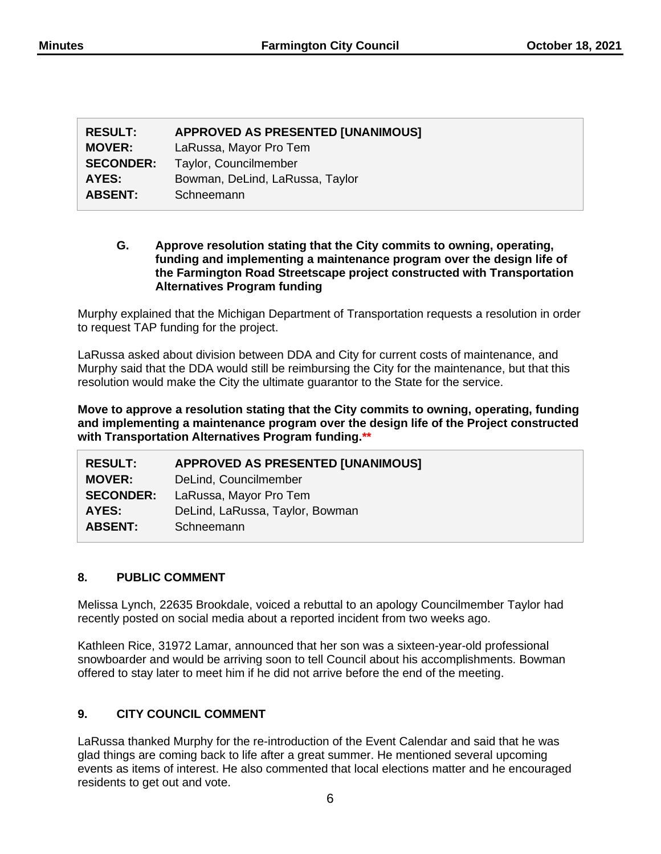| <b>RESULT:</b>   | <b>APPROVED AS PRESENTED [UNANIMOUS]</b> |
|------------------|------------------------------------------|
| <b>MOVER:</b>    | LaRussa, Mayor Pro Tem                   |
| <b>SECONDER:</b> | Taylor, Councilmember                    |
| AYES:            | Bowman, DeLind, LaRussa, Taylor          |
| <b>ABSENT:</b>   | Schneemann                               |

#### **G. Approve resolution stating that the City commits to owning, operating, funding and implementing a maintenance program over the design life of the Farmington Road Streetscape project constructed with Transportation Alternatives Program funding**

Murphy explained that the Michigan Department of Transportation requests a resolution in order to request TAP funding for the project.

LaRussa asked about division between DDA and City for current costs of maintenance, and Murphy said that the DDA would still be reimbursing the City for the maintenance, but that this resolution would make the City the ultimate guarantor to the State for the service.

**Move to approve a resolution stating that the City commits to owning, operating, funding and implementing a maintenance program over the design life of the Project constructed with Transportation Alternatives Program funding.\*\***

| <b>RESULT:</b>   | <b>APPROVED AS PRESENTED [UNANIMOUS]</b> |
|------------------|------------------------------------------|
| <b>MOVER:</b>    | DeLind, Councilmember                    |
| <b>SECONDER:</b> | LaRussa, Mayor Pro Tem                   |
| AYES:            | DeLind, LaRussa, Taylor, Bowman          |
| <b>ABSENT:</b>   | Schneemann                               |

# **8. PUBLIC COMMENT**

Melissa Lynch, 22635 Brookdale, voiced a rebuttal to an apology Councilmember Taylor had recently posted on social media about a reported incident from two weeks ago.

Kathleen Rice, 31972 Lamar, announced that her son was a sixteen-year-old professional snowboarder and would be arriving soon to tell Council about his accomplishments. Bowman offered to stay later to meet him if he did not arrive before the end of the meeting.

# **9. CITY COUNCIL COMMENT**

LaRussa thanked Murphy for the re-introduction of the Event Calendar and said that he was glad things are coming back to life after a great summer. He mentioned several upcoming events as items of interest. He also commented that local elections matter and he encouraged residents to get out and vote.